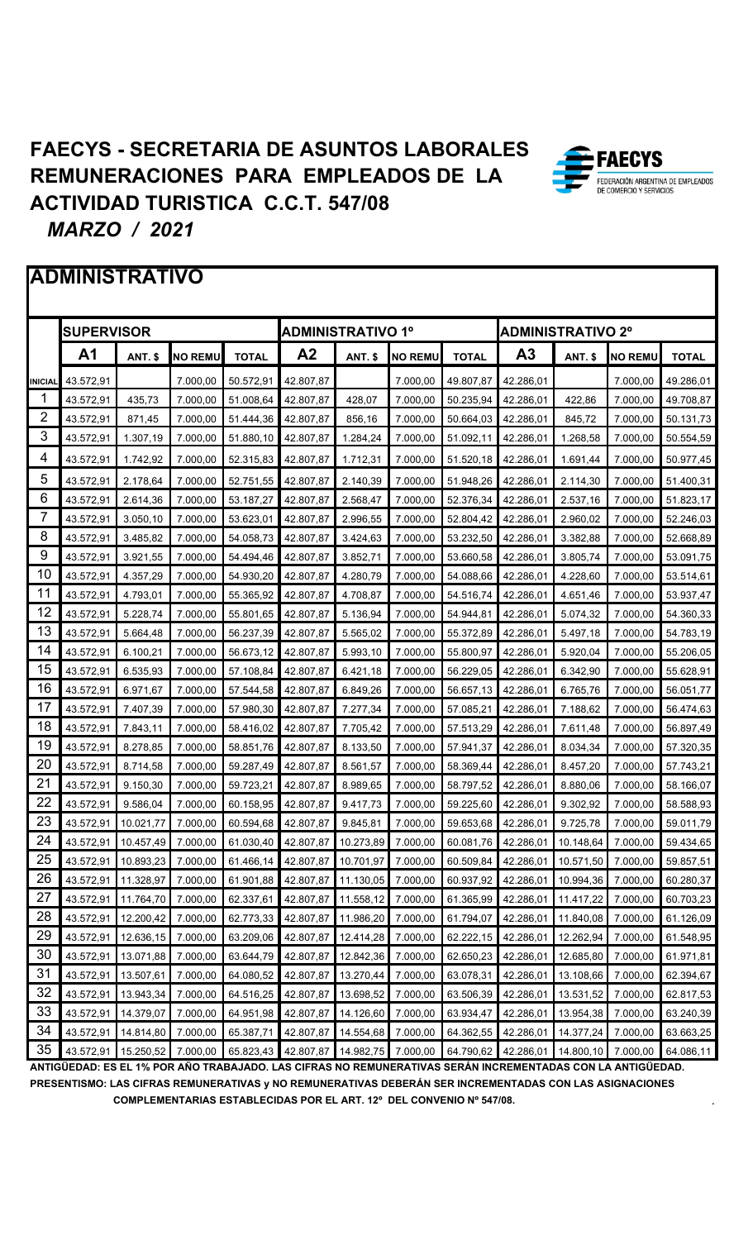# **ADMINISTRATIVO**

|                | <b>SUPERVISOR</b> |                     |                |              | <b>ADMINISTRATIVO 1º</b> |                              |                |              | <b>ADMINISTRATIVO 2º</b> |                    |                |              |
|----------------|-------------------|---------------------|----------------|--------------|--------------------------|------------------------------|----------------|--------------|--------------------------|--------------------|----------------|--------------|
|                | A <sub>1</sub>    | ANT. \$             | <b>NO REMU</b> | <b>TOTAL</b> | A <sub>2</sub>           | ANT. \$                      | <b>NO REMU</b> | <b>TOTAL</b> | A <sub>3</sub>           | ANT. \$            | <b>NO REMU</b> | <b>TOTAL</b> |
| <b>INICIAL</b> | 43.572,91         |                     | 7.000.00       | 50.572,91    | 42.807,87                |                              | 7.000,00       | 49.807,87    | 42.286,01                |                    | 7.000,00       | 49.286,01    |
| 1              | 43.572,91         | 435,73              | 7.000,00       | 51.008,64    | 42.807,87                | 428,07                       | 7.000,00       | 50.235,94    | 42.286,01                | 422,86             | 7.000,00       | 49.708,87    |
| $\overline{2}$ | 43.572,91         | 871,45              | 7.000,00       | 51.444,36    | 42.807,87                | 856,16                       | 7.000,00       | 50.664,03    | 42.286,01                | 845,72             | 7.000,00       | 50.131,73    |
| 3              | 43.572,91         | 1.307,19            | 7.000,00       | 51.880,10    | 42.807,87                | 1.284,24                     | 7.000,00       | 51.092,11    | 42.286,01                | 1.268,58           | 7.000,00       | 50.554,59    |
| 4              | 43.572,91         | 1.742,92            | 7.000,00       | 52.315,83    | 42.807,87                | 1.712,31                     | 7.000,00       | 51.520,18    | 42.286,01                | 1.691,44           | 7.000,00       | 50.977,45    |
| 5              | 43.572,91         | 2.178,64            | 7.000,00       | 52.751,55    | 42.807,87                | 2.140.39                     | 7.000,00       | 51.948,26    | 42.286,01                | 2.114,30           | 7.000,00       | 51.400,31    |
| 6              | 43.572,91         | 2.614,36            | 7.000,00       | 53.187,27    | 42.807,87                | 2.568,47                     | 7.000,00       | 52.376,34    | 42.286,01                | 2.537,16           | 7.000,00       | 51.823,17    |
| 7              | 43.572,91         | 3.050,10            | 7.000,00       | 53.623,01    | 42.807,87                | 2.996,55                     | 7.000,00       | 52.804,42    | 42.286,01                | 2.960,02           | 7.000,00       | 52.246,03    |
| 8              | 43.572,91         | 3.485,82            | 7.000,00       | 54.058,73    | 42.807,87                | 3.424,63                     | 7.000,00       | 53.232,50    | 42.286,01                | 3.382,88           | 7.000,00       | 52.668,89    |
| 9              | 43.572,91         | 3.921,55            | 7.000,00       | 54.494,46    | 42.807,87                | 3.852,71                     | 7.000,00       | 53.660,58    | 42.286,01                | 3.805,74           | 7.000,00       | 53.091,75    |
| 10             | 43.572,91         | 4.357.29            | 7.000,00       | 54.930,20    | 42.807,87                | 4.280,79                     | 7.000.00       | 54.088,66    | 42.286,01                | 4.228,60           | 7.000,00       | 53.514,61    |
| 11             | 43.572,91         | 4.793,01            | 7.000,00       | 55.365,92    | 42.807,87                | 4.708,87                     | 7.000.00       | 54.516,74    | 42.286,01                | 4.651,46           | 7.000,00       | 53.937,47    |
| 12             | 43.572,91         | 5.228,74            | 7.000,00       | 55.801,65    | 42.807,87                | 5.136,94                     | 7.000,00       | 54.944,81    | 42.286,01                | 5.074,32           | 7.000,00       | 54.360,33    |
| 13             | 43.572,91         | 5.664,48            | 7.000,00       | 56.237,39    | 42.807,87                | 5.565,02                     | 7.000.00       | 55.372,89    | 42.286,01                | 5.497,18           | 7.000,00       | 54.783,19    |
| 14             | 43.572,91         | 6.100,21            | 7.000,00       | 56.673,12    | 42.807,87                | 5.993,10                     | 7.000,00       | 55.800,97    | 42.286,01                | 5.920,04           | 7.000,00       | 55.206,05    |
| 15             | 43.572,91         | 6.535,93            | 7.000,00       | 57.108,84    | 42.807,87                | 6.421,18                     | 7.000,00       | 56.229,05    | 42.286,01                | 6.342,90           | 7.000,00       | 55.628,91    |
| 16             | 43.572,91         | 6.971,67            | 7.000,00       | 57.544,58    | 42.807,87                | 6.849,26                     | 7.000,00       | 56.657,13    | 42.286,01                | 6.765,76           | 7.000,00       | 56.051,77    |
| 17             | 43.572,91         | 7.407,39            | 7.000,00       | 57.980,30    | 42.807,87                | 7.277,34                     | 7.000,00       | 57.085,21    | 42.286,01                | 7.188,62           | 7.000,00       | 56.474,63    |
| 18             | 43.572,91         | 7.843,11            | 7.000,00       | 58.416,02    | 42.807,87                | 7.705,42                     | 7.000,00       | 57.513,29    | 42.286,01                | 7.611,48           | 7.000,00       | 56.897,49    |
| 19             | 43.572,91         | 8.278,85            | 7.000,00       | 58.851,76    | 42.807,87                | 8.133,50                     | 7.000,00       | 57.941,37    | 42.286,01                | 8.034,34           | 7.000,00       | 57.320,35    |
| 20             | 43.572,91         | 8.714,58            | 7.000,00       | 59.287,49    | 42.807,87                | 8.561,57                     | 7.000,00       | 58.369,44    | 42.286,01                | 8.457,20           | 7.000,00       | 57.743,21    |
| 21             | 43.572,91         | 9.150,30            | 7.000,00       | 59.723,21    | 42.807,87                | 8.989,65                     | 7.000,00       | 58.797,52    | 42.286,01                | 8.880,06           | 7.000,00       | 58.166,07    |
| 22             | 43.572,91         | 9.586,04            | 7.000,00       | 60.158,95    | 42.807,87                | 9.417,73                     | 7.000,00       | 59.225,60    | 42.286,01                | 9.302,92           | 7.000,00       | 58.588,93    |
| 23             | 43.572,91         | 10.021,77           | 7.000,00       | 60.594,68    | 42.807,87                | 9.845,81                     | 7.000,00       | 59.653,68    | 42.286,01                | 9.725.78           | 7.000,00       | 59.011,79    |
| 24             | 43.572,91         | 10.457,49           | 7.000,00       | 61.030,40    | 42.807,87                | 10.273,89                    | 7.000,00       | 60.081,76    | 42.286,01                | 10.148,64          | 7.000,00       | 59.434,65    |
| 25             |                   | 43.572,91 10.893,23 | 7.000,00       | 61.466,14    |                          | 42.807,87 10.701,97          | 7.000,00       | 60.509,84    | 42.286,01                | 10.571,50          | 7.000,00       | 59.857,51    |
| 26             | 43.572,91         | 11.328,97           | 7.000,00       | 61.901,88    | 42.807,87                | 11.130,05                    | 7.000,00       | 60.937,92    | 42.286,01                | 10.994,36          | 7.000,00       | 60.280,37    |
| 27             | 43.572,91         | 11.764,70           | 7.000,00       | 62.337,61    | 42.807,87                | 11.558,12                    | 7.000,00       | 61.365,99    | 42.286,01                | 11.417,22          | 7.000,00       | 60.703,23    |
| 28             | 43.572,91         | 12.200,42           | 7.000,00       | 62.773,33    | 42.807,87                | 11.986,20                    | 7.000,00       | 61.794,07    | 42.286,01                | 11.840,08          | 7.000,00       | 61.126,09    |
| 29             | 43.572,91         | 12.636,15           | 7.000,00       | 63.209,06    | 42.807,87                | 12.414,28                    | 7.000,00       | 62.222,15    | 42.286,01                | 12.262,94          | 7.000,00       | 61.548,95    |
| 30             | 43.572,91         | 13.071,88           | 7.000,00       | 63.644,79    | 42.807,87                | 12.842,36                    | 7.000,00       | 62.650,23    | 42.286,01                | 12.685,80          | 7.000,00       | 61.971,81    |
| 31             | 43.572,91         | 13.507,61           | 7.000,00       | 64.080,52    | 42.807,87                | 13.270,44                    | 7.000,00       | 63.078,31    | 42.286,01                | 13.108,66          | 7.000,00       | 62.394,67    |
| 32             | 43.572,91         | 13.943,34           | 7.000,00       | 64.516,25    | 42.807,87                | 13.698,52                    | 7.000,00       | 63.506,39    | 42.286,01                | 13.531,52          | 7.000,00       | 62.817,53    |
| 33             | 43.572,91         | 14.379,07           | 7.000,00       | 64.951,98    | 42.807,87                | 14.126,60                    | 7.000,00       | 63.934,47    | 42.286,01                | 13.954,38          | 7.000,00       | 63.240,39    |
| 34             | 43.572,91         | 14.814,80           | 7.000,00       | 65.387,71    | 42.807,87                | 14.554,68                    | 7.000,00       | 64.362,55    | 42.286,01                | 14.377,24          | 7.000,00       | 63.663,25    |
| 35             | 43.572,91         | 15.250,52 7.000,00  |                | 65.823,43    |                          | 42.807,87 14.982,75 7.000,00 |                | 64.790,62    | 42.286,01                | 14.800,10 7.000,00 |                | 64.086,11    |

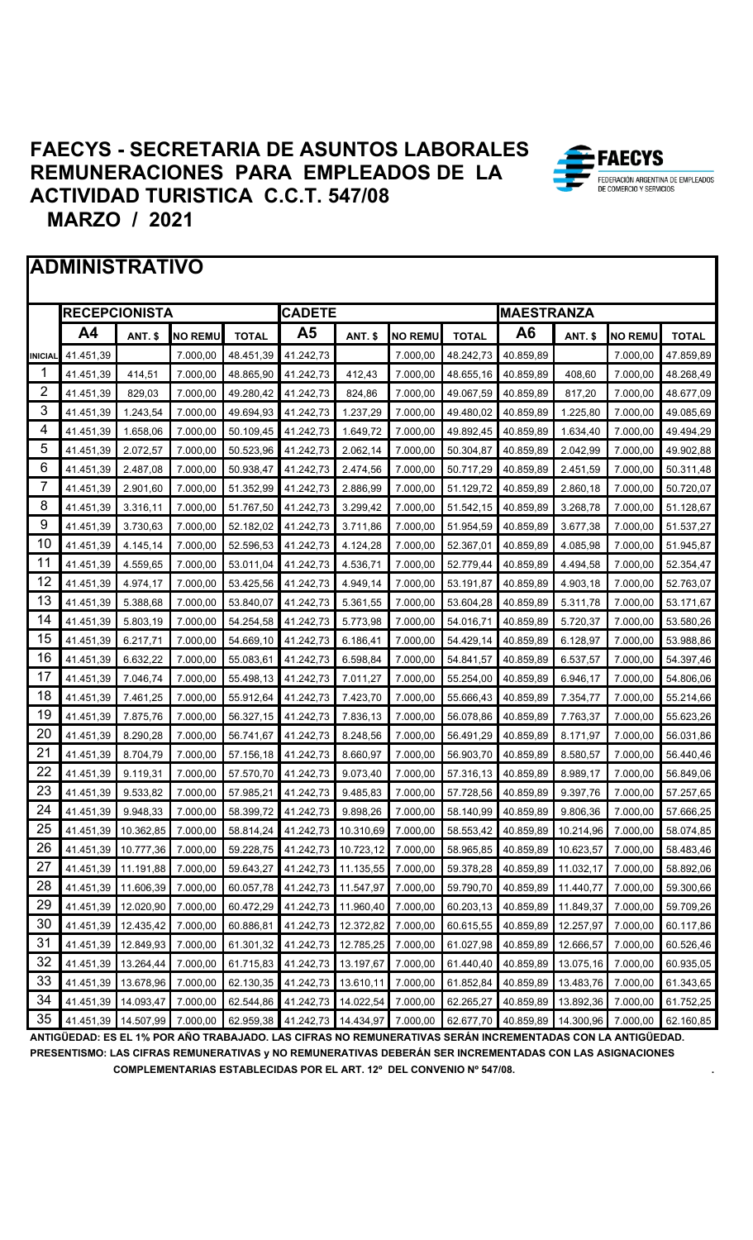#### **ADMINISTRATIVO**

|         | <b>RECEPCIONISTA</b> |                |                |              | <b>CADETE</b> |                |                |              | <b>MAESTRANZA</b> |                |                |              |
|---------|----------------------|----------------|----------------|--------------|---------------|----------------|----------------|--------------|-------------------|----------------|----------------|--------------|
|         | A4                   | <b>ANT. \$</b> | <b>NO REMU</b> | <b>TOTAL</b> | Α5            | <b>ANT. \$</b> | <b>NO REMU</b> | <b>TOTAL</b> | A6                | <b>ANT. \$</b> | <b>NO REMU</b> | <b>TOTAL</b> |
| INICIAL | 41.451,39            |                | 7.000,00       | 48.451,39    | 41.242,73     |                | 7.000,00       | 48.242,73    | 40.859,89         |                | 7.000,00       | 47.859,89    |
| 1       | 41.451,39            | 414,51         | 7.000,00       | 48.865,90    | 41.242,73     | 412,43         | 7.000.00       | 48.655,16    | 40.859,89         | 408,60         | 7.000,00       | 48.268,49    |
| 2       | 41.451,39            | 829,03         | 7.000,00       | 49.280,42    | 41.242,73     | 824,86         | 7.000,00       | 49.067,59    | 40.859,89         | 817,20         | 7.000,00       | 48.677,09    |
| 3       | 41.451,39            | 1.243,54       | 7.000,00       | 49.694,93    | 41.242,73     | 1.237,29       | 7.000,00       | 49.480,02    | 40.859,89         | 1.225,80       | 7.000,00       | 49.085,69    |
| 4       | 41.451,39            | 1.658,06       | 7.000,00       | 50.109,45    | 41.242,73     | 1.649,72       | 7.000,00       | 49.892,45    | 40.859,89         | 1.634,40       | 7.000,00       | 49.494,29    |
| 5       | 41.451,39            | 2.072,57       | 7.000,00       | 50.523,96    | 41.242,73     | 2.062,14       | 7.000,00       | 50.304,87    | 40.859,89         | 2.042,99       | 7.000,00       | 49.902,88    |
| 6       | 41.451,39            | 2.487,08       | 7.000,00       | 50.938,47    | 41.242,73     | 2.474,56       | 7.000,00       | 50.717,29    | 40.859,89         | 2.451,59       | 7.000,00       | 50.311,48    |
| 7       | 41.451,39            | 2.901,60       | 7.000,00       | 51.352,99    | 41.242,73     | 2.886,99       | 7.000,00       | 51.129,72    | 40.859,89         | 2.860,18       | 7.000,00       | 50.720,07    |
| 8       | 41.451,39            | 3.316,11       | 7.000,00       | 51.767,50    | 41.242,73     | 3.299,42       | 7.000,00       | 51.542,15    | 40.859,89         | 3.268,78       | 7.000,00       | 51.128,67    |
| 9       | 41.451,39            | 3.730,63       | 7.000,00       | 52.182,02    | 41.242,73     | 3.711,86       | 7.000.00       | 51.954,59    | 40.859,89         | 3.677,38       | 7.000,00       | 51.537,27    |
| 10      | 41.451,39            | 4.145,14       | 7.000,00       | 52.596,53    | 41.242,73     | 4.124,28       | 7.000,00       | 52.367,01    | 40.859,89         | 4.085,98       | 7.000,00       | 51.945,87    |
| 11      | 41.451,39            | 4.559,65       | 7.000,00       | 53.011,04    | 41.242,73     | 4.536,71       | 7.000,00       | 52.779,44    | 40.859,89         | 4.494,58       | 7.000,00       | 52.354,47    |
| 12      | 41.451,39            | 4.974,17       | 7.000,00       | 53.425,56    | 41.242,73     | 4.949,14       | 7.000,00       | 53.191,87    | 40.859,89         | 4.903,18       | 7.000,00       | 52.763,07    |
| 13      | 41.451,39            | 5.388,68       | 7.000,00       | 53.840,07    | 41.242,73     | 5.361,55       | 7.000,00       | 53.604,28    | 40.859,89         | 5.311,78       | 7.000,00       | 53.171,67    |
| 14      | 41.451,39            | 5.803,19       | 7.000,00       | 54.254,58    | 41.242,73     | 5.773,98       | 7.000,00       | 54.016,71    | 40.859,89         | 5.720,37       | 7.000,00       | 53.580,26    |
| 15      | 41.451,39            | 6.217,71       | 7.000,00       | 54.669,10    | 41.242,73     | 6.186,41       | 7.000,00       | 54.429,14    | 40.859,89         | 6.128,97       | 7.000.00       | 53.988,86    |
| 16      | 41.451,39            | 6.632,22       | 7.000,00       | 55.083,61    | 41.242,73     | 6.598,84       | 7.000,00       | 54.841,57    | 40.859,89         | 6.537,57       | 7.000,00       | 54.397,46    |
| 17      | 41.451,39            | 7.046,74       | 7.000,00       | 55.498,13    | 41.242,73     | 7.011,27       | 7.000,00       | 55.254,00    | 40.859,89         | 6.946,17       | 7.000,00       | 54.806,06    |
| 18      | 41.451,39            | 7.461,25       | 7.000,00       | 55.912,64    | 41.242,73     | 7.423,70       | 7.000,00       | 55.666,43    | 40.859,89         | 7.354,77       | 7.000,00       | 55.214,66    |
| 19      | 41.451,39            | 7.875,76       | 7.000,00       | 56.327,15    | 41.242,73     | 7.836,13       | 7.000,00       | 56.078,86    | 40.859,89         | 7.763,37       | 7.000,00       | 55.623,26    |
| 20      | 41.451,39            | 8.290,28       | 7.000,00       | 56.741,67    | 41.242,73     | 8.248,56       | 7.000,00       | 56.491,29    | 40.859,89         | 8.171,97       | 7.000,00       | 56.031,86    |
| 21      | 41.451,39            | 8.704,79       | 7.000,00       | 57.156,18    | 41.242,73     | 8.660,97       | 7.000,00       | 56.903,70    | 40.859,89         | 8.580,57       | 7.000,00       | 56.440,46    |
| 22      | 41.451,39            | 9.119,31       | 7.000,00       | 57.570,70    | 41.242,73     | 9.073,40       | 7.000,00       | 57.316,13    | 40.859,89         | 8.989,17       | 7.000,00       | 56.849,06    |
| 23      | 41.451,39            | 9.533,82       | 7.000,00       | 57.985,21    | 41.242,73     | 9.485,83       | 7.000,00       | 57.728,56    | 40.859,89         | 9.397,76       | 7.000,00       | 57.257,65    |
| 24      | 41.451,39            | 9.948,33       | 7.000,00       | 58.399,72    | 41.242,73     | 9.898,26       | 7.000,00       | 58.140,99    | 40.859,89         | 9.806,36       | 7.000,00       | 57.666,25    |
| 25      | 41.451,39            | 10.362,85      | 7.000,00       | 58.814,24    | 41.242,73     | 10.310.69      | 7.000,00       | 58.553,42    | 40.859,89         | 10.214,96      | 7.000,00       | 58.074,85    |
| 26      | 41.451,39            | 10.777,36      | 7.000,00       | 59.228,75    | 41.242,73     | 10.723,12      | 7.000,00       | 58.965,85    | 40.859,89         | 10.623,57      | 7.000,00       | 58.483,46    |
| 27      | 41.451,39            | 11.191,88      | 7.000,00       | 59.643,27    | 41.242,73     | 11.135,55      | 7.000,00       | 59.378,28    | 40.859,89         | 11.032,17      | 7.000,00       | 58.892,06    |
| 28      | 41.451,39            | 11.606,39      | 7.000,00       | 60.057,78    | 41.242,73     | 11.547,97      | 7.000,00       | 59.790,70    | 40.859,89         | 11.440,77      | 7.000,00       | 59.300,66    |
| 29      | 41.451,39            | 12.020,90      | 7.000,00       | 60.472,29    | 41.242,73     | 11.960,40      | 7.000,00       | 60.203,13    | 40.859,89         | 11.849,37      | 7.000,00       | 59.709,26    |
| 30      | 41.451,39            | 12.435,42      | 7.000,00       | 60.886,81    | 41.242,73     | 12.372,82      | 7.000,00       | 60.615,55    | 40.859,89         | 12.257,97      | 7.000,00       | 60.117,86    |
| 31      | 41.451,39            | 12.849,93      | 7.000,00       | 61.301,32    | 41.242,73     | 12.785,25      | 7.000,00       | 61.027,98    | 40.859,89         | 12.666,57      | 7.000,00       | 60.526,46    |
| 32      | 41.451,39            | 13.264,44      | 7.000,00       | 61.715,83    | 41.242,73     | 13.197,67      | 7.000,00       | 61.440,40    | 40.859,89         | 13.075,16      | 7.000,00       | 60.935,05    |
| 33      | 41.451,39            | 13.678,96      | 7.000,00       | 62.130,35    | 41.242,73     | 13.610,11      | 7.000,00       | 61.852,84    | 40.859,89         | 13.483,76      | 7.000,00       | 61.343,65    |
| 34      | 41.451,39            | 14.093,47      | 7.000,00       | 62.544,86    | 41.242,73     | 14.022,54      | 7.000,00       | 62.265,27    | 40.859,89         | 13.892,36      | 7.000,00       | 61.752,25    |
| 35      | 41.451,39            | 14.507,99      | 7.000,00       | 62.959,38    | 41.242,73     | 14.434,97      | 7.000,00       | 62.677,70    | 40.859,89         | 14.300,96      | 7.000,00       | 62.160,85    |

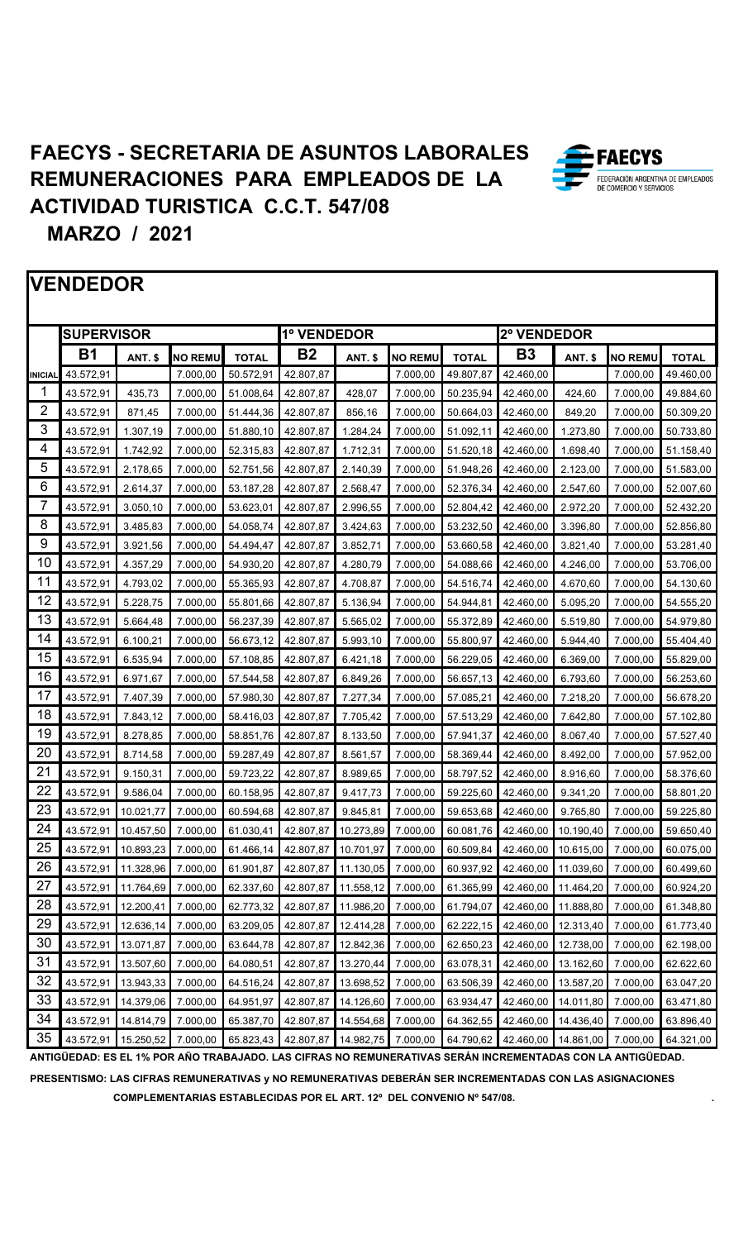**EXECTS** 

FEDERACIÓN ARGENTINA DE EMPLEADOS DE COMERCIO Y SERVICIOS



**PRESENTISMO: LAS CIFRAS REMUNERATIVAS y NO REMUNERATIVAS DEBERÁN SER INCREMENTADAS CON LAS ASIGNACIONES COMPLEMENTARIAS ESTABLECIDAS POR EL ART. 12º DEL CONVENIO Nº 547/08. .**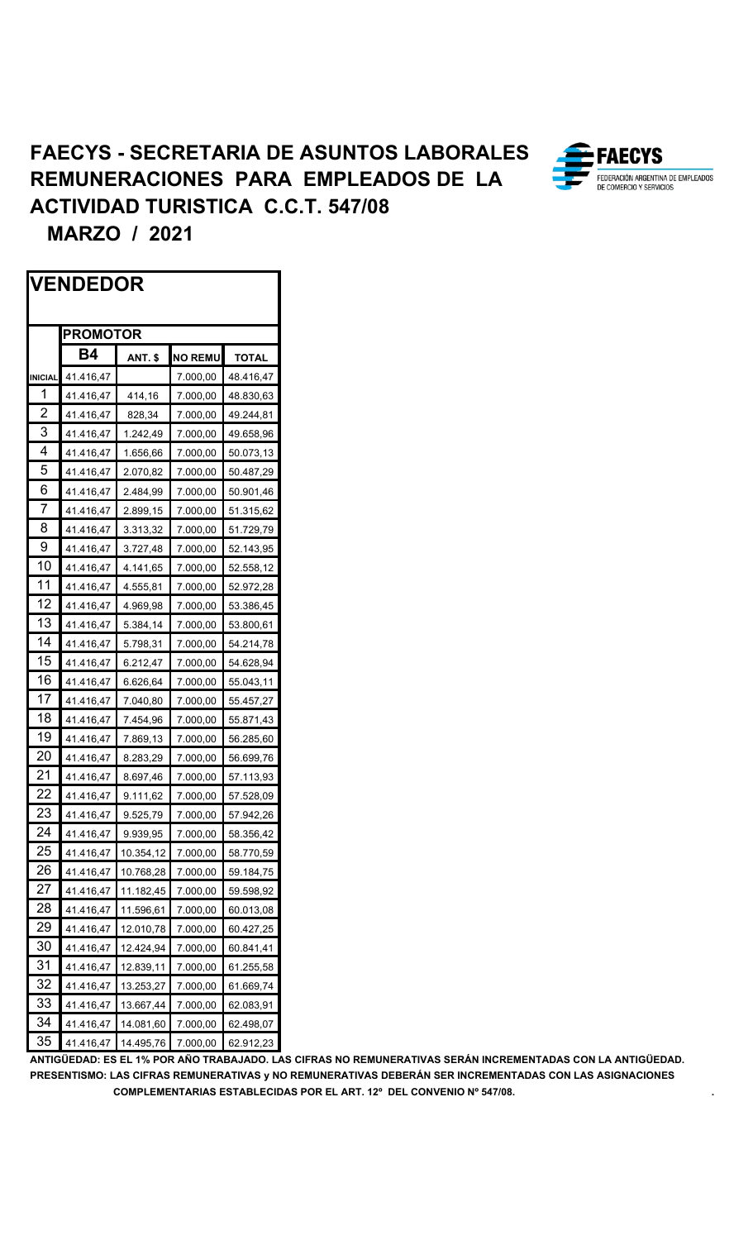

 **MARZO / 2021**

|                | <b>VENDEDOR</b> |           |                |              |  |
|----------------|-----------------|-----------|----------------|--------------|--|
|                | <b>PROMOTOR</b> |           |                |              |  |
|                | Β4              | ANT. \$   | <b>NO REMU</b> | <b>TOTAL</b> |  |
| <b>INICIAL</b> | 41.416,47       |           | 7.000,00       | 48.416,47    |  |
| 1              | 41.416,47       | 414,16    | 7.000,00       | 48.830,63    |  |
| $\overline{2}$ | 41.416,47       | 828,34    | 7.000,00       | 49.244,81    |  |
| 3              | 41.416,47       | 1.242,49  | 7.000,00       | 49.658,96    |  |
| 4              | 41.416,47       | 1.656,66  | 7.000,00       | 50.073,13    |  |
| 5              | 41.416,47       | 2.070,82  | 7.000,00       | 50.487,29    |  |
| 6              | 41.416,47       | 2.484,99  | 7.000,00       | 50.901,46    |  |
| $\overline{7}$ | 41.416,47       | 2.899,15  | 7.000,00       | 51.315,62    |  |
| 8              | 41.416,47       | 3.313,32  | 7.000,00       | 51.729,79    |  |
| 9              | 41.416,47       | 3.727,48  | 7.000,00       | 52.143,95    |  |
| 10             | 41.416,47       | 4.141,65  | 7.000,00       | 52.558,12    |  |
| 11             | 41.416,47       | 4.555,81  | 7.000,00       | 52.972,28    |  |
| 12             | 41.416,47       | 4.969,98  | 7.000,00       | 53.386,45    |  |
| 13             | 41.416,47       | 5.384,14  | 7.000,00       | 53.800,61    |  |
| 14             | 41.416,47       | 5.798,31  | 7.000,00       | 54.214,78    |  |
| 15             | 41.416,47       | 6.212,47  | 7.000,00       | 54.628,94    |  |
| 16             | 41.416,47       | 6.626,64  | 7.000,00       | 55.043,11    |  |
| 17             | 41.416,47       | 7.040,80  | 7.000,00       | 55.457,27    |  |
| 18             | 41.416,47       | 7.454,96  | 7.000,00       | 55.871,43    |  |
| 19             | 41.416,47       | 7.869,13  | 7.000,00       | 56.285,60    |  |
| 20             | 41.416,47       | 8.283,29  | 7.000,00       | 56.699,76    |  |
| 21             | 41.416,47       | 8.697,46  | 7.000,00       | 57.113,93    |  |
| 22             | 41.416,47       | 9.111,62  | 7.000,00       | 57.528,09    |  |
| 23             | 41.416,47       | 9.525,79  | 7.000,00       | 57.942,26    |  |
| 24             | 41.416,47       | 9.939,95  | 7.000,00       | 58.356,42    |  |
| 25             | 41.416,47       | 10.354,12 | 7.000,00       | 58.770,59    |  |
| 26             | 41.416,47       | 10.768,28 | 7.000,00       | 59.184,75    |  |
| 27             | 41.416,47       | 11.182,45 | 7.000,00       | 59.598,92    |  |
| 28             | 41.416,47       | 11.596,61 | 7.000,00       | 60.013,08    |  |
| 29             | 41.416,47       | 12.010,78 | 7.000,00       | 60.427,25    |  |
| 30             | 41.416,47       | 12.424,94 | 7.000,00       | 60.841,41    |  |
| 31             | 41.416,47       | 12.839,11 | 7.000,00       | 61.255,58    |  |
| 32             | 41.416,47       | 13.253,27 | 7.000,00       | 61.669,74    |  |
| 33             | 41.416,47       | 13.667,44 | 7.000,00       | 62.083,91    |  |
| 34             | 41.416,47       | 14.081,60 | 7.000,00       | 62.498,07    |  |
| 35             | 41.416,47       | 14.495,76 | 7.000,00       | 62.912,23    |  |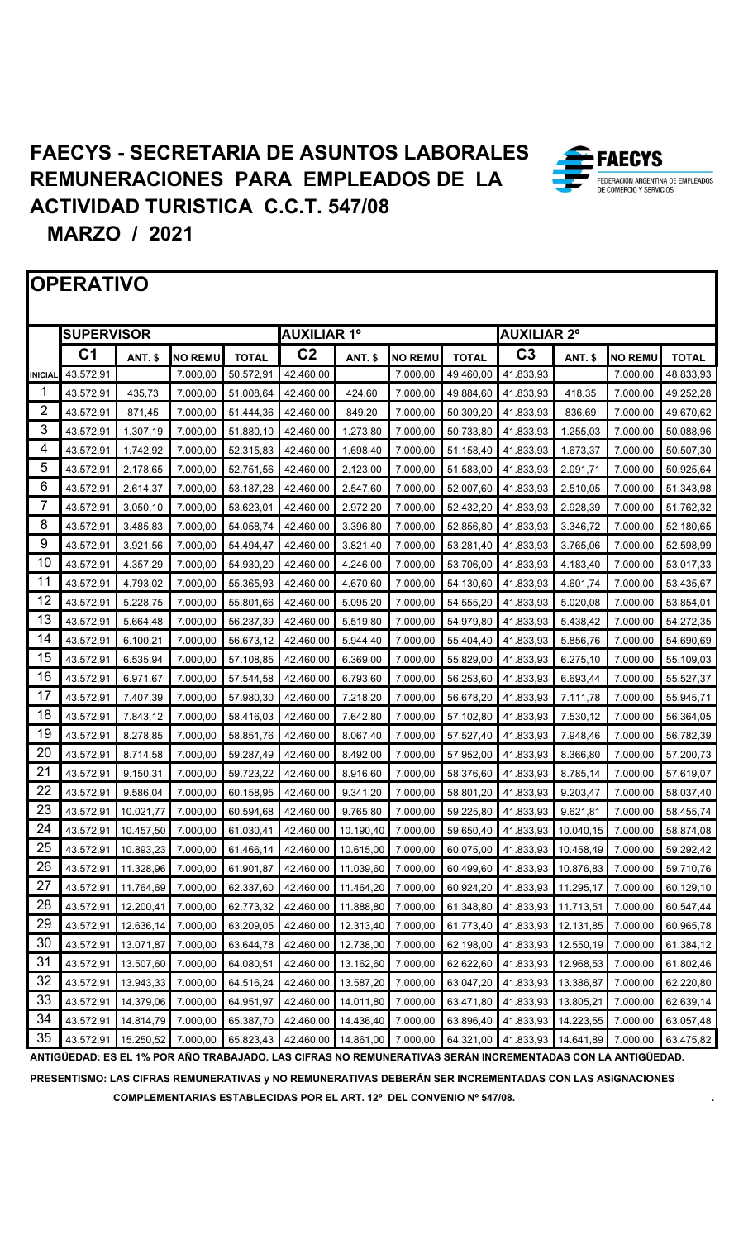

**ANTIGÜEDAD: ES EL 1% POR AÑO TRABAJADO. LAS CIFRAS NO REMUNERATIVAS SERÁN INCREMENTADAS CON LA ANTIGÜEDAD. PRESENTISMO: LAS CIFRAS REMUNERATIVAS y NO REMUNERATIVAS DEBERÁN SER INCREMENTADAS CON LAS ASIGNACIONES COMPLEMENTARIAS ESTABLECIDAS POR EL ART. 12º DEL CONVENIO Nº 547/08. .**

**EAECYS** FEDERACIÓN ARGENTINA DE EMPLEADOS COMERCIO Y SERVICIO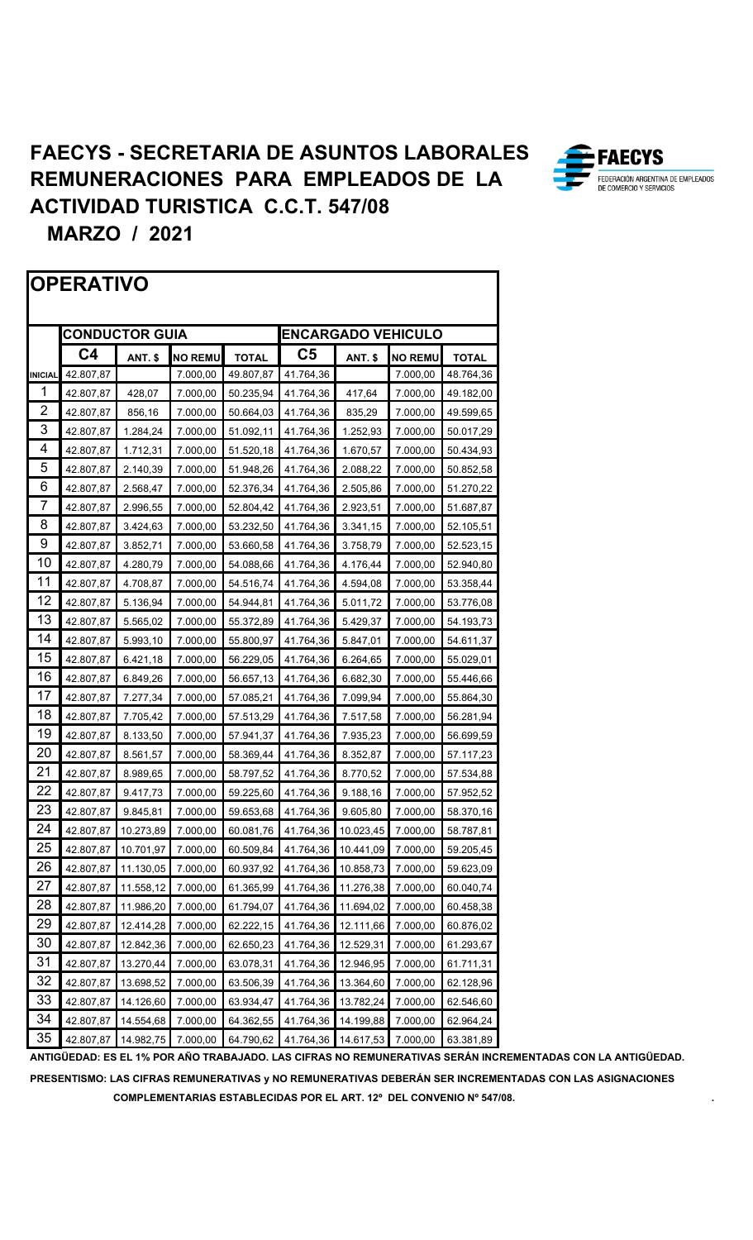



**PRESENTISMO: LAS CIFRAS REMUNERATIVAS y NO REMUNERATIVAS DEBERÁN SER INCREMENTADAS CON LAS ASIGNACIONES COMPLEMENTARIAS ESTABLECIDAS POR EL ART. 12º DEL CONVENIO Nº 547/08. .**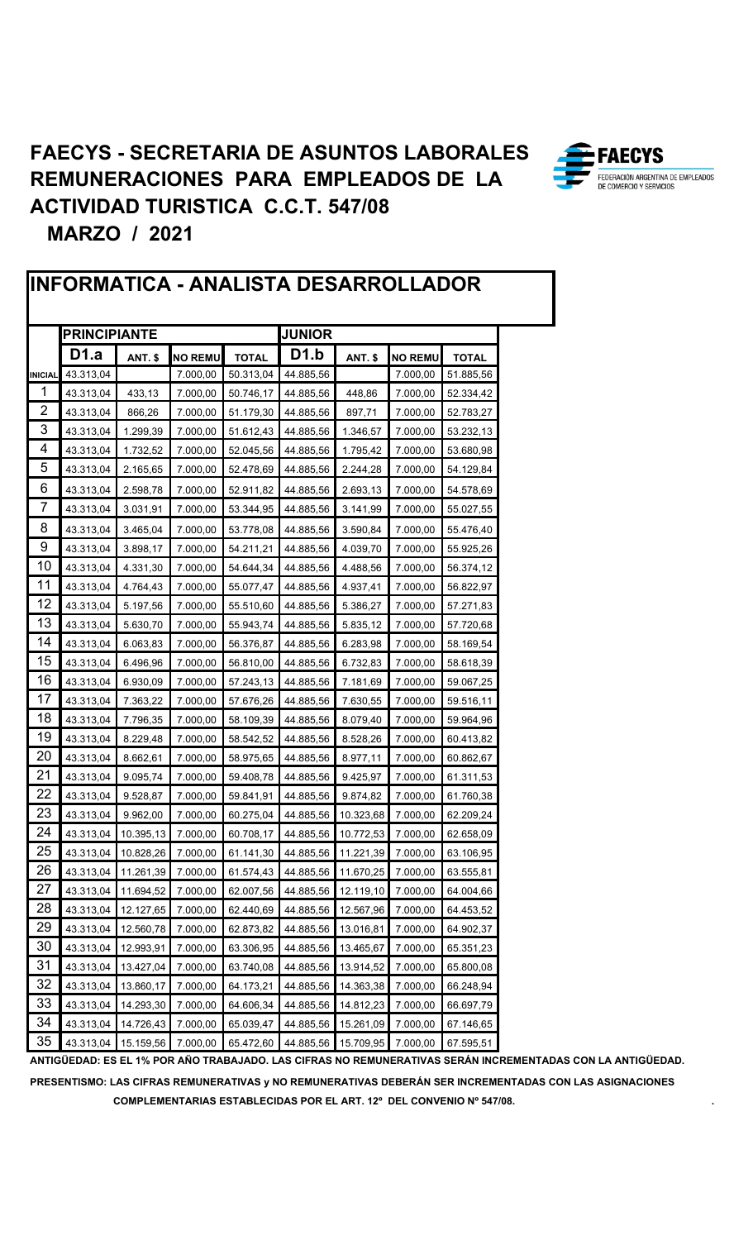

|                | INFORMATICA - ANALISTA DESARROLLADOR |                |                |              |                   |                |                |              |  |
|----------------|--------------------------------------|----------------|----------------|--------------|-------------------|----------------|----------------|--------------|--|
|                | <b>JUNIOR</b><br><b>PRINCIPIANTE</b> |                |                |              |                   |                |                |              |  |
|                | D1.a                                 | <b>ANT. \$</b> | <b>NO REMU</b> | <b>TOTAL</b> | D <sub>1</sub> .b | <b>ANT. \$</b> | <b>NO REMU</b> | <b>TOTAL</b> |  |
| <b>INICIAL</b> | 43.313,04                            |                | 7.000,00       | 50.313,04    | 44.885,56         |                | 7.000,00       | 51.885,56    |  |
| 1              | 43.313,04                            | 433,13         | 7.000,00       | 50.746,17    | 44.885,56         | 448,86         | 7.000,00       | 52.334,42    |  |
| $\overline{2}$ | 43.313,04                            | 866,26         | 7.000,00       | 51.179,30    | 44.885,56         | 897,71         | 7.000,00       | 52.783,27    |  |
| 3              | 43.313,04                            | 1.299,39       | 7.000,00       | 51.612,43    | 44.885,56         | 1.346,57       | 7.000,00       | 53.232,13    |  |
| 4              | 43.313,04                            | 1.732,52       | 7.000,00       | 52.045,56    | 44.885,56         | 1.795,42       | 7.000,00       | 53.680,98    |  |
| 5              | 43.313,04                            | 2.165,65       | 7.000,00       | 52.478,69    | 44.885,56         | 2.244,28       | 7.000,00       | 54.129,84    |  |
| 6              | 43.313,04                            | 2.598,78       | 7.000,00       | 52.911,82    | 44.885,56         | 2.693,13       | 7.000,00       | 54.578,69    |  |
| 7              | 43.313,04                            | 3.031,91       | 7.000,00       | 53.344,95    | 44.885,56         | 3.141,99       | 7.000,00       | 55.027,55    |  |
| 8              | 43.313,04                            | 3.465,04       | 7.000,00       | 53.778,08    | 44.885,56         | 3.590,84       | 7.000,00       | 55.476,40    |  |
| 9              | 43.313,04                            | 3.898,17       | 7.000,00       | 54.211,21    | 44.885,56         | 4.039,70       | 7.000,00       | 55.925,26    |  |
| 10             | 43.313,04                            | 4.331,30       | 7.000,00       | 54.644,34    | 44.885,56         | 4.488,56       | 7.000,00       | 56.374,12    |  |
| 11             | 43.313,04                            | 4.764,43       | 7.000,00       | 55.077,47    | 44.885,56         | 4.937,41       | 7.000,00       | 56.822,97    |  |
| 12             | 43.313,04                            | 5.197,56       | 7.000,00       | 55.510,60    | 44.885,56         | 5.386,27       | 7.000,00       | 57.271,83    |  |
| 13             | 43.313,04                            | 5.630,70       | 7.000,00       | 55.943,74    | 44.885,56         | 5.835,12       | 7.000,00       | 57.720,68    |  |
| 14             | 43.313,04                            | 6.063,83       | 7.000,00       | 56.376,87    | 44.885,56         | 6.283,98       | 7.000,00       | 58.169,54    |  |
| 15             | 43.313,04                            | 6.496,96       | 7.000,00       | 56.810,00    | 44.885,56         | 6.732,83       | 7.000,00       | 58.618,39    |  |
| 16             | 43.313,04                            | 6.930,09       | 7.000,00       | 57.243,13    | 44.885,56         | 7.181,69       | 7.000,00       | 59.067,25    |  |
| 17             | 43.313,04                            | 7.363,22       | 7.000,00       | 57.676,26    | 44.885,56         | 7.630,55       | 7.000,00       | 59.516,11    |  |
| 18             | 43.313,04                            | 7.796,35       | 7.000,00       | 58.109,39    | 44.885,56         | 8.079,40       | 7.000,00       | 59.964,96    |  |
| 19             | 43.313,04                            | 8.229,48       | 7.000,00       | 58.542,52    | 44.885,56         | 8.528,26       | 7.000,00       | 60.413,82    |  |
| 20             | 43.313,04                            | 8.662,61       | 7.000,00       | 58.975,65    | 44.885,56         | 8.977,11       | 7.000,00       | 60.862,67    |  |
| 21             | 43.313,04                            | 9.095,74       | 7.000,00       | 59.408,78    | 44.885,56         | 9.425,97       | 7.000,00       | 61.311,53    |  |
| 22             | 43.313,04                            | 9.528,87       | 7.000,00       | 59.841,91    | 44.885,56         | 9.874,82       | 7.000,00       | 61.760,38    |  |
| 23             | 43.313,04                            | 9.962,00       | 7.000,00       | 60.275,04    | 44.885,56         | 10.323,68      | 7.000,00       | 62.209,24    |  |
| 24             | 43.313,04                            | 10.395,13      | 7.000,00       | 60.708,17    | 44.885,56         | 10.772,53      | 7.000,00       | 62.658,09    |  |
| 25             | 43.313,04                            | 10.828,26      | 7.000,00       | 61.141,30    | 44.885,56         | 11.221,39      | 7.000,00       | 63.106,95    |  |
| 26             | 43.313,04                            | 11.261,39      | 7.000,00       | 61.574,43    | 44.885,56         | 11.670,25      | 7.000,00       | 63.555,81    |  |
| 27             | 43.313,04                            | 11.694,52      | 7.000,00       | 62.007,56    | 44.885,56         | 12.119,10      | 7.000,00       | 64.004,66    |  |
| 28             | 43.313,04                            | 12.127,65      | 7.000,00       | 62.440,69    | 44.885,56         | 12.567,96      | 7.000,00       | 64.453,52    |  |
| 29             | 43.313,04                            | 12.560,78      | 7.000,00       | 62.873,82    | 44.885,56         | 13.016,81      | 7.000,00       | 64.902,37    |  |
| 30             | 43.313,04                            | 12.993,91      | 7.000,00       | 63.306,95    | 44.885,56         | 13.465,67      | 7.000,00       | 65.351,23    |  |
| 31             | 43.313,04                            | 13.427,04      | 7.000,00       | 63.740,08    | 44.885,56         | 13.914,52      | 7.000,00       | 65.800,08    |  |
| 32             | 43.313,04                            | 13.860,17      | 7.000,00       | 64.173,21    | 44.885,56         | 14.363,38      | 7.000,00       | 66.248,94    |  |
| 33             | 43.313,04                            | 14.293,30      | 7.000,00       | 64.606,34    | 44.885,56         | 14.812,23      | 7.000,00       | 66.697,79    |  |
| 34             | 43.313,04                            | 14.726,43      | 7.000,00       | 65.039,47    | 44.885,56         | 15.261,09      | 7.000,00       | 67.146,65    |  |
| 35             | 43.313,04                            | 15.159,56      | 7.000,00       | 65.472,60    | 44.885,56         | 15.709,95      | 7.000,00       | 67.595,51    |  |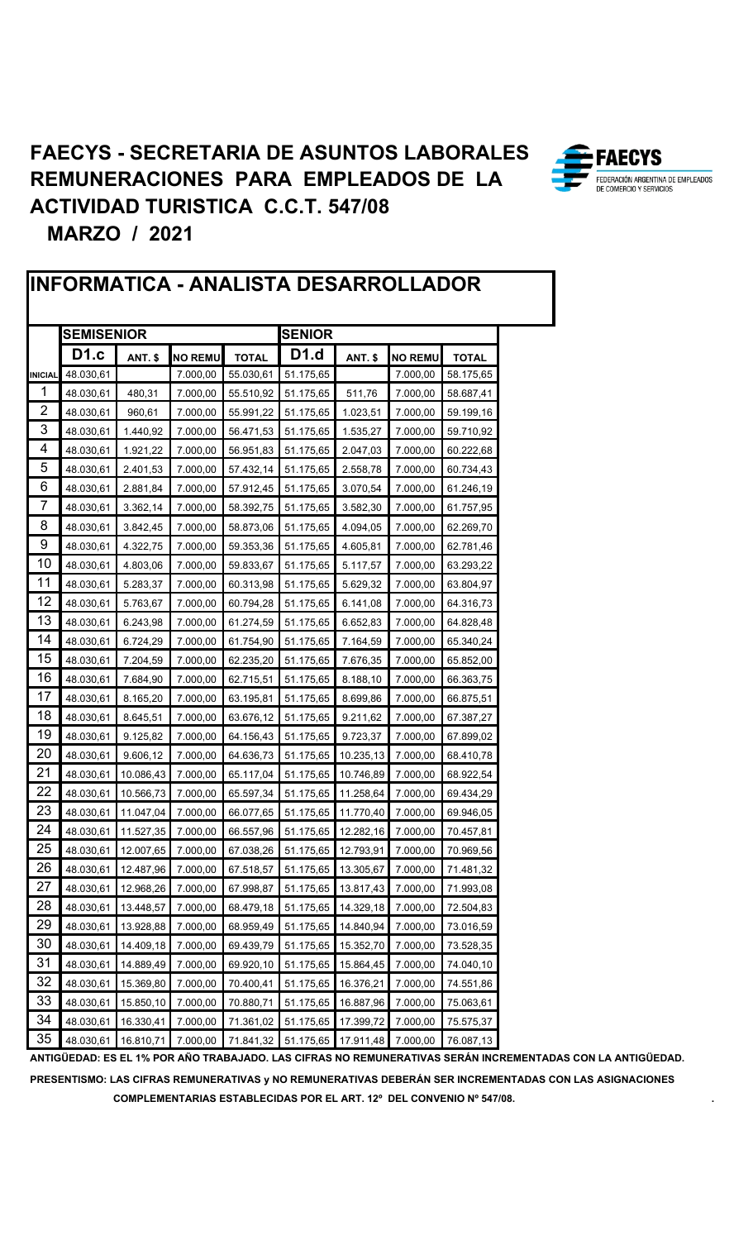

|                | INFORMATICA - ANALISTA DESARROLLADOR |                |                |              |               |                |                |              |  |  |  |
|----------------|--------------------------------------|----------------|----------------|--------------|---------------|----------------|----------------|--------------|--|--|--|
|                | <b>SEMISENIOR</b>                    |                |                |              | <b>SENIOR</b> |                |                |              |  |  |  |
|                | <b>D1.c</b>                          | <b>ANT. \$</b> | <b>NO REMU</b> | <b>TOTAL</b> | <b>D1.d</b>   | <b>ANT. \$</b> | <b>NO REMU</b> | <b>TOTAL</b> |  |  |  |
| <b>INICIAL</b> | 48.030,61                            |                | 7.000,00       | 55.030,61    | 51.175,65     |                | 7.000,00       | 58.175,65    |  |  |  |
| 1              | 48.030,61                            | 480,31         | 7.000,00       | 55.510,92    | 51.175,65     | 511,76         | 7.000,00       | 58.687,41    |  |  |  |
| 2              | 48.030,61                            | 960,61         | 7.000,00       | 55.991,22    | 51.175,65     | 1.023,51       | 7.000,00       | 59.199,16    |  |  |  |
| 3              | 48.030,61                            | 1.440,92       | 7.000,00       | 56.471,53    | 51.175,65     | 1.535,27       | 7.000,00       | 59.710,92    |  |  |  |
| 4              | 48.030,61                            | 1.921,22       | 7.000,00       | 56.951,83    | 51.175,65     | 2.047,03       | 7.000,00       | 60.222,68    |  |  |  |
| 5              | 48.030,61                            | 2.401,53       | 7.000,00       | 57.432,14    | 51.175,65     | 2.558,78       | 7.000,00       | 60.734,43    |  |  |  |
| 6              | 48.030,61                            | 2.881,84       | 7.000,00       | 57.912,45    | 51.175,65     | 3.070,54       | 7.000,00       | 61.246,19    |  |  |  |
| 7              | 48.030,61                            | 3.362,14       | 7.000,00       | 58.392,75    | 51.175,65     | 3.582,30       | 7.000,00       | 61.757,95    |  |  |  |
| 8              | 48.030,61                            | 3.842,45       | 7.000,00       | 58.873,06    | 51.175,65     | 4.094,05       | 7.000,00       | 62.269,70    |  |  |  |
| 9              | 48.030,61                            | 4.322,75       | 7.000,00       | 59.353,36    | 51.175,65     | 4.605,81       | 7.000,00       | 62.781,46    |  |  |  |
| 10             | 48.030,61                            | 4.803,06       | 7.000,00       | 59.833,67    | 51.175,65     | 5.117,57       | 7.000,00       | 63.293,22    |  |  |  |
| 11             | 48.030,61                            | 5.283,37       | 7.000,00       | 60.313,98    | 51.175,65     | 5.629,32       | 7.000,00       | 63.804,97    |  |  |  |
| 12             | 48.030,61                            | 5.763,67       | 7.000,00       | 60.794,28    | 51.175,65     | 6.141,08       | 7.000,00       | 64.316,73    |  |  |  |
| 13             | 48.030,61                            | 6.243,98       | 7.000,00       | 61.274,59    | 51.175,65     | 6.652,83       | 7.000,00       | 64.828,48    |  |  |  |
| 14             | 48.030,61                            | 6.724,29       | 7.000,00       | 61.754,90    | 51.175,65     | 7.164,59       | 7.000,00       | 65.340,24    |  |  |  |
| 15             | 48.030,61                            | 7.204,59       | 7.000,00       | 62.235,20    | 51.175,65     | 7.676,35       | 7.000,00       | 65.852,00    |  |  |  |
| 16             | 48.030,61                            | 7.684,90       | 7.000,00       | 62.715,51    | 51.175,65     | 8.188,10       | 7.000,00       | 66.363,75    |  |  |  |
| 17             | 48.030,61                            | 8.165,20       | 7.000,00       | 63.195,81    | 51.175,65     | 8.699,86       | 7.000,00       | 66.875,51    |  |  |  |
| 18             | 48.030,61                            | 8.645,51       | 7.000,00       | 63.676,12    | 51.175,65     | 9.211,62       | 7.000,00       | 67.387,27    |  |  |  |
| 19             | 48.030,61                            | 9.125,82       | 7.000,00       | 64.156,43    | 51.175,65     | 9.723,37       | 7.000,00       | 67.899,02    |  |  |  |
| 20             | 48.030,61                            | 9.606,12       | 7.000,00       | 64.636,73    | 51.175,65     | 10.235,13      | 7.000,00       | 68.410,78    |  |  |  |
| 21             | 48.030,61                            | 10.086,43      | 7.000,00       | 65.117,04    | 51.175,65     | 10.746,89      | 7.000,00       | 68.922,54    |  |  |  |
| 22             | 48.030,61                            | 10.566,73      | 7.000,00       | 65.597,34    | 51.175,65     | 11.258,64      | 7.000,00       | 69.434,29    |  |  |  |
| 23             | 48.030,61                            | 11.047,04      | 7.000,00       | 66.077,65    | 51.175,65     | 11.770,40      | 7.000,00       | 69.946,05    |  |  |  |
| 24             | 48.030,61                            | 11.527,35      | 7.000,00       | 66.557,96    | 51.175,65     | 12.282,16      | 7.000,00       | 70.457,81    |  |  |  |
| 25             | 48.030,61                            | 12.007,65      | 7.000,00       | 67.038,26    | 51.175,65     | 12.793,91      | 7.000,00       | 70.969,56    |  |  |  |
| 26             | 48.030,61                            | 12.487,96      | 7.000,00       | 67.518,57    | 51.175,65     | 13.305,67      | 7.000,00       | 71.481,32    |  |  |  |
| 27             | 48.030,61                            | 12.968,26      | 7.000,00       | 67.998,87    | 51.175,65     | 13.817,43      | 7.000,00       | 71.993,08    |  |  |  |
| 28             | 48.030,61                            | 13.448,57      | 7.000,00       | 68.479,18    | 51.175,65     | 14.329,18      | 7.000,00       | 72.504,83    |  |  |  |
| 29             | 48.030,61                            | 13.928,88      | 7.000,00       | 68.959,49    | 51.175,65     | 14.840,94      | 7.000,00       | 73.016,59    |  |  |  |
| 30             | 48.030,61                            | 14.409,18      | 7.000,00       | 69.439,79    | 51.175,65     | 15.352,70      | 7.000,00       | 73.528,35    |  |  |  |
| 31             | 48.030,61                            | 14.889,49      | 7.000,00       | 69.920,10    | 51.175,65     | 15.864,45      | 7.000,00       | 74.040,10    |  |  |  |
| 32             | 48.030,61                            | 15.369,80      | 7.000,00       | 70.400,41    | 51.175,65     | 16.376,21      | 7.000,00       | 74.551,86    |  |  |  |
| 33             | 48.030,61                            | 15.850,10      | 7.000,00       | 70.880,71    | 51.175,65     | 16.887,96      | 7.000,00       | 75.063,61    |  |  |  |
| 34             | 48.030,61                            | 16.330,41      | 7.000,00       | 71.361,02    | 51.175,65     | 17.399,72      | 7.000,00       | 75.575,37    |  |  |  |
| 35             | 48.030,61                            | 16.810,71      | 7.000,00       | 71.841,32    | 51.175,65     | 17.911,48      | 7.000,00       | 76.087,13    |  |  |  |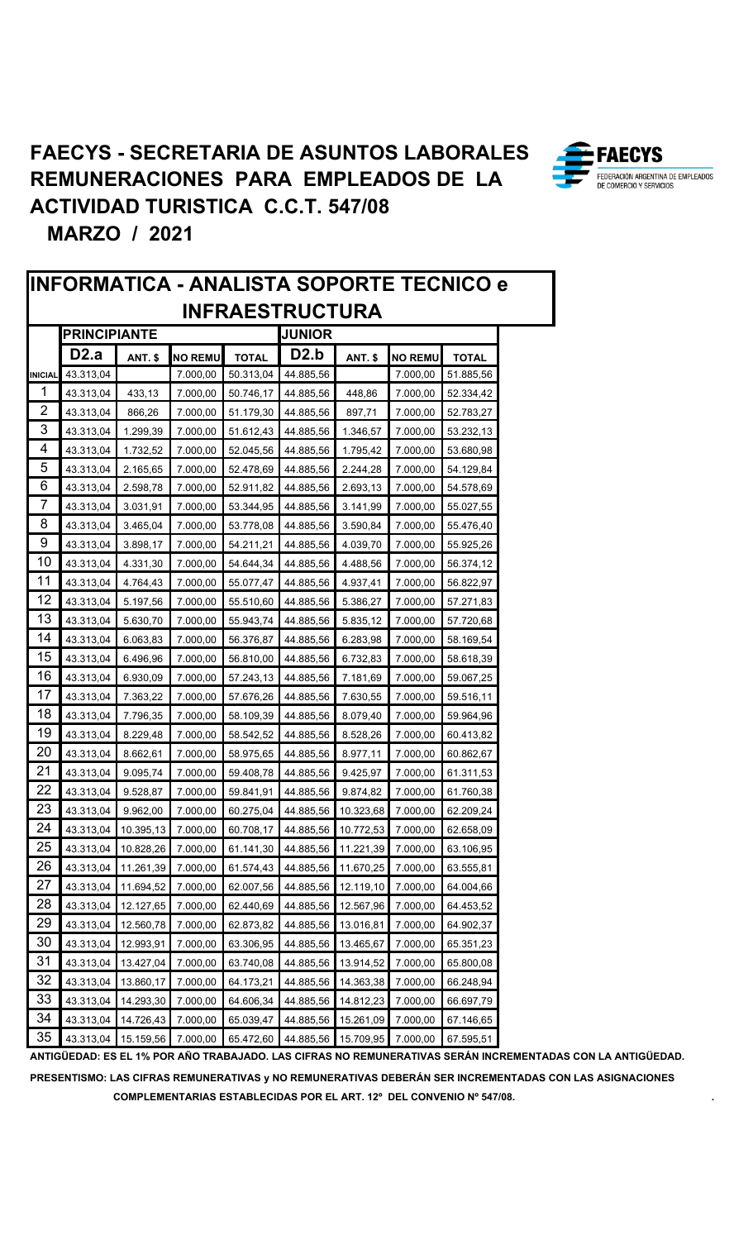: FAECYS

FEDERACIÓN ARGENTINA DE EMPLEADOS DE COMERCIO Y SERVICIOS



PRESENTISMO: LAS CIFRAS REMUNERATIVAS y NO REMUNERATIVAS DEBERÁN SER INCREMENTADAS CON LAS ASIGNACIONES COMPLEMENTARIAS ESTABLECIDAS POR EL ART. 12º DEL CONVENIO Nº 547/08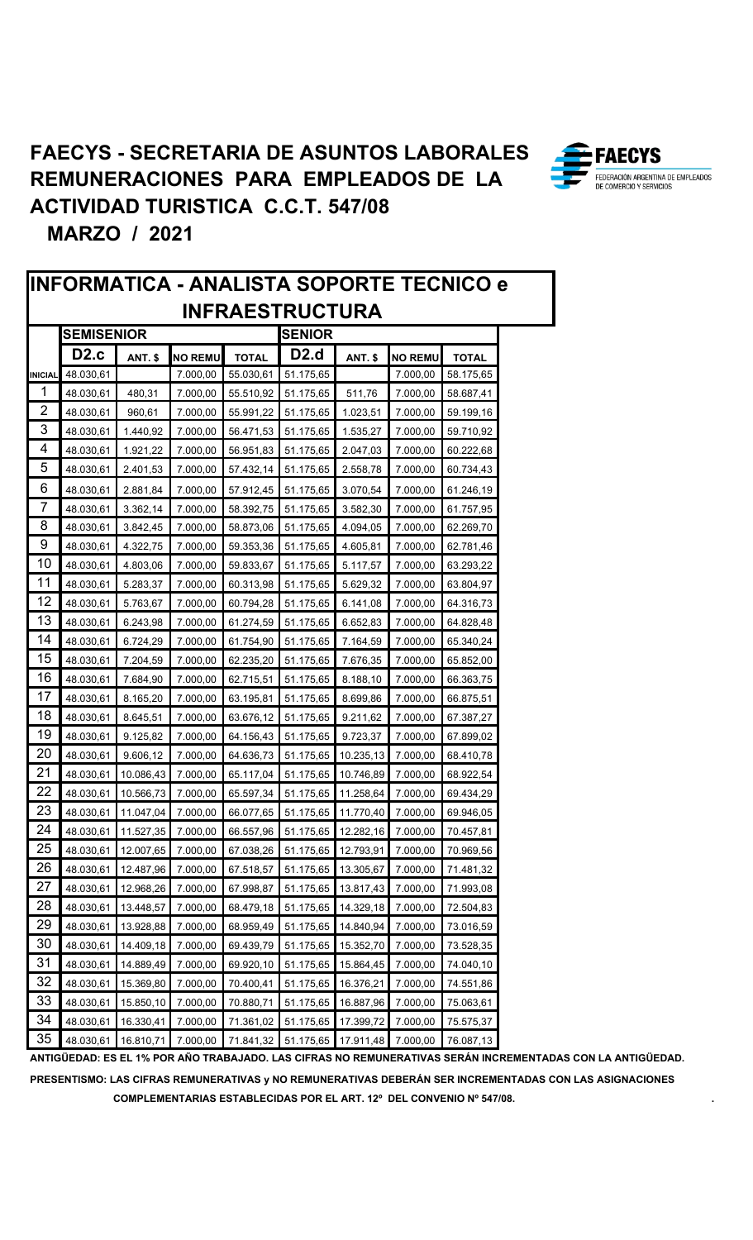**·FAECYS** 

FEDERACIÓN ARGENTINA DE EMPLEADOS DE COMERCIO Y SERVICIOS

![](_page_9_Picture_1.jpeg)

PRESENTISMO: LAS CIFRAS REMUNERATIVAS y NO REMUNERATIVAS DEBERÁN SER INCREMENTADAS CON LAS ASIGNACIONES COMPLEMENTARIAS ESTABLECIDAS POR EL ART. 12° DEL CONVENIO Nº 547/08.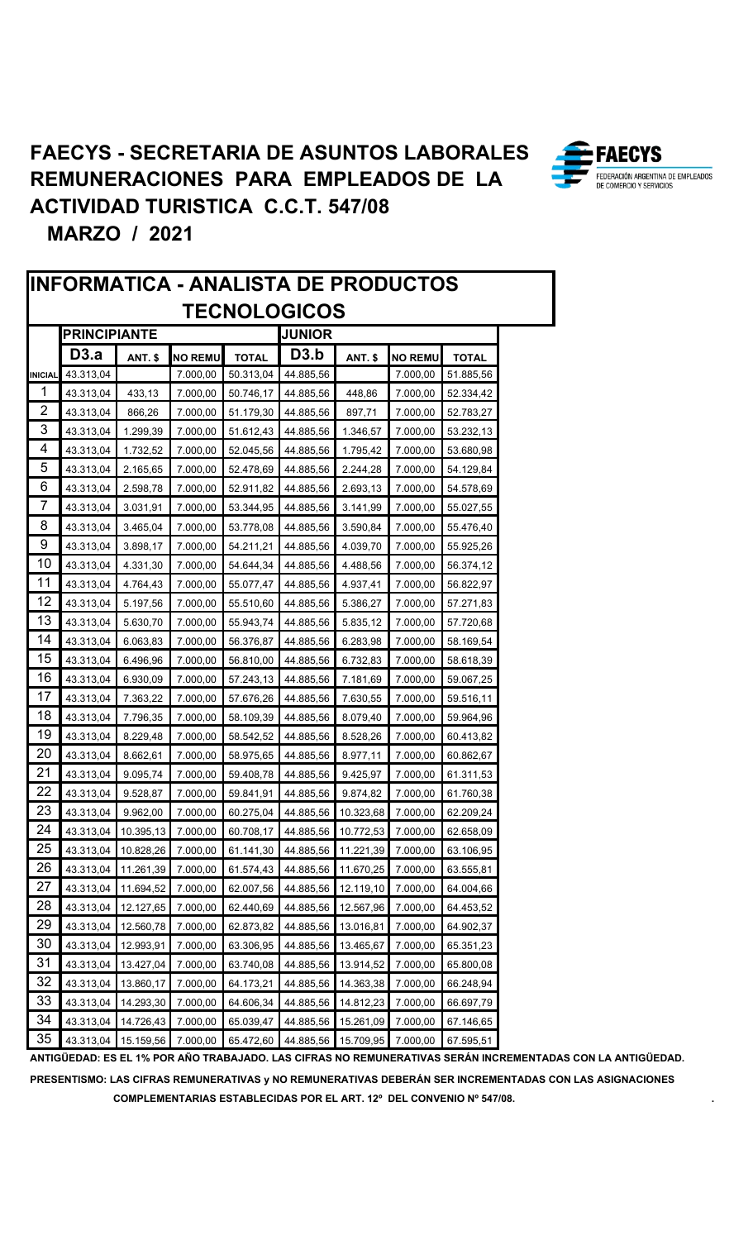![](_page_10_Picture_1.jpeg)

|                |                     |                |                |              | <b>INFORMATICA - ANALISTA DE PRODUCTOS</b> |                |                |              |
|----------------|---------------------|----------------|----------------|--------------|--------------------------------------------|----------------|----------------|--------------|
|                |                     |                |                |              | <b>TECNOLOGICOS</b>                        |                |                |              |
|                | <b>PRINCIPIANTE</b> |                |                |              | <b>JUNIOR</b>                              |                |                |              |
|                | D3.a                | <b>ANT. \$</b> | <b>NO REMU</b> | <b>TOTAL</b> | D3.b                                       | <b>ANT. \$</b> | <b>NO REMU</b> | <b>TOTAL</b> |
| <b>INICIAL</b> | 43.313,04           |                | 7.000,00       | 50.313,04    | 44.885,56                                  |                | 7.000,00       | 51.885,56    |
| 1              | 43.313,04           | 433,13         | 7.000,00       | 50.746,17    | 44.885,56                                  | 448,86         | 7.000,00       | 52.334,42    |
| 2              | 43.313,04           | 866,26         | 7.000,00       | 51.179,30    | 44.885,56                                  | 897,71         | 7.000,00       | 52.783,27    |
| 3              | 43.313,04           | 1.299,39       | 7.000,00       | 51.612,43    | 44.885,56                                  | 1.346,57       | 7.000,00       | 53.232,13    |
| 4              | 43.313,04           | 1.732,52       | 7.000,00       | 52.045,56    | 44.885,56                                  | 1.795,42       | 7.000,00       | 53.680,98    |
| 5              | 43.313,04           | 2.165,65       | 7.000,00       | 52.478,69    | 44.885,56                                  | 2.244,28       | 7.000,00       | 54.129,84    |
| 6              | 43.313,04           | 2.598,78       | 7.000,00       | 52.911,82    | 44.885,56                                  | 2.693,13       | 7.000,00       | 54.578,69    |
| 7              | 43.313,04           | 3.031,91       | 7.000,00       | 53.344,95    | 44.885,56                                  | 3.141,99       | 7.000,00       | 55.027,55    |
| 8              | 43.313,04           | 3.465,04       | 7.000,00       | 53.778,08    | 44.885,56                                  | 3.590,84       | 7.000,00       | 55.476,40    |
| 9              | 43.313,04           | 3.898,17       | 7.000,00       | 54.211,21    | 44.885,56                                  | 4.039,70       | 7.000,00       | 55.925,26    |
| 10             | 43.313,04           | 4.331,30       | 7.000,00       | 54.644,34    | 44.885,56                                  | 4.488,56       | 7.000,00       | 56.374,12    |
| 11             | 43.313,04           | 4.764,43       | 7.000,00       | 55.077,47    | 44.885,56                                  | 4.937,41       | 7.000,00       | 56.822,97    |
| 12             | 43.313,04           | 5.197,56       | 7.000,00       | 55.510,60    | 44.885,56                                  | 5.386,27       | 7.000,00       | 57.271,83    |
| 13             | 43.313,04           | 5.630,70       | 7.000,00       | 55.943,74    | 44.885,56                                  | 5.835,12       | 7.000,00       | 57.720,68    |
| 14             | 43.313,04           | 6.063,83       | 7.000,00       | 56.376,87    | 44.885,56                                  | 6.283,98       | 7.000,00       | 58.169,54    |
| 15             | 43.313,04           | 6.496,96       | 7.000,00       | 56.810,00    | 44.885,56                                  | 6.732,83       | 7.000,00       | 58.618,39    |
| 16             | 43.313,04           | 6.930,09       | 7.000,00       | 57.243,13    | 44.885,56                                  | 7.181,69       | 7.000,00       | 59.067,25    |
| 17             | 43.313,04           | 7.363,22       | 7.000,00       | 57.676,26    | 44.885,56                                  | 7.630,55       | 7.000,00       | 59.516,11    |
| 18             | 43.313,04           | 7.796,35       | 7.000,00       | 58.109,39    | 44.885,56                                  | 8.079,40       | 7.000,00       | 59.964,96    |
| 19             | 43.313,04           | 8.229,48       | 7.000,00       | 58.542,52    | 44.885,56                                  | 8.528,26       | 7.000,00       | 60.413,82    |
| 20             | 43.313,04           | 8.662,61       | 7.000,00       | 58.975,65    | 44.885,56                                  | 8.977,11       | 7.000,00       | 60.862,67    |
| 21             | 43.313,04           | 9.095,74       | 7.000,00       | 59.408,78    | 44.885,56                                  | 9.425,97       | 7.000,00       | 61.311,53    |
| 22             | 43.313,04           | 9.528,87       | 7.000,00       | 59.841,91    | 44.885,56                                  | 9.874,82       | 7.000,00       | 61.760,38    |
| 23             | 43.313,04           | 9.962,00       | 7.000,00       | 60.275,04    | 44.885,56                                  | 10.323,68      | 7.000,00       | 62.209,24    |
| 24             | 43.313,04           | 10.395,13      | 7.000,00       | 60.708,17    | 44.885,56                                  | 10.772,53      | 7.000,00       | 62.658,09    |
| 25             | 43.313,04           | 10.828,26      | 7.000,00       | 61.141,30    | 44.885,56                                  | 11.221,39      | 7.000,00       | 63.106,95    |
| 26             | 43.313,04           | 11.261,39      | 7.000,00       | 61.574,43    | 44.885,56                                  | 11.670,25      | 7.000,00       | 63.555,81    |
| 27             | 43.313,04           | 11.694,52      | 7.000,00       | 62.007,56    | 44.885,56                                  | 12.119,10      | 7.000,00       | 64.004,66    |
| 28             | 43.313,04           | 12.127,65      | 7.000,00       | 62.440,69    | 44.885,56                                  | 12.567,96      | 7.000,00       | 64.453,52    |
| 29             | 43.313,04           | 12.560,78      | 7.000,00       | 62.873,82    | 44.885,56                                  | 13.016,81      | 7.000,00       | 64.902,37    |
| 30             | 43.313,04           | 12.993,91      | 7.000,00       | 63.306,95    | 44.885,56                                  | 13.465,67      | 7.000,00       | 65.351,23    |
| 31             | 43.313,04           | 13.427,04      | 7.000,00       | 63.740,08    | 44.885,56                                  | 13.914,52      | 7.000,00       | 65.800,08    |
| 32             | 43.313,04           | 13.860,17      | 7.000,00       | 64.173,21    | 44.885,56                                  | 14.363,38      | 7.000,00       | 66.248,94    |
| 33             | 43.313,04           | 14.293,30      | 7.000,00       | 64.606,34    | 44.885,56                                  | 14.812,23      | 7.000,00       | 66.697,79    |
| 34             | 43.313,04           | 14.726,43      | 7.000,00       | 65.039,47    | 44.885,56                                  | 15.261,09      | 7.000,00       | 67.146,65    |
| 35             | 43.313,04           | 15.159,56      | 7.000,00       | 65.472,60    | 44.885,56                                  | 15.709,95      | 7.000,00       | 67.595,51    |

#### ANTIGÜEDAD: ES EL 1% POR AÑO TRABAJADO. LAS CIFRAS NO REMUNERATIVAS SERÁN INCREMENTADAS CON LA ANTIGÜEDAD.

PRESENTISMO: LAS CIFRAS REMUNERATIVAS y NO REMUNERATIVAS DEBERÁN SER INCREMENTADAS CON LAS ASIGNACIONES COMPLEMENTARIAS ESTABLECIDAS POR EL ART. 12° DEL CONVENIO Nº 547/08.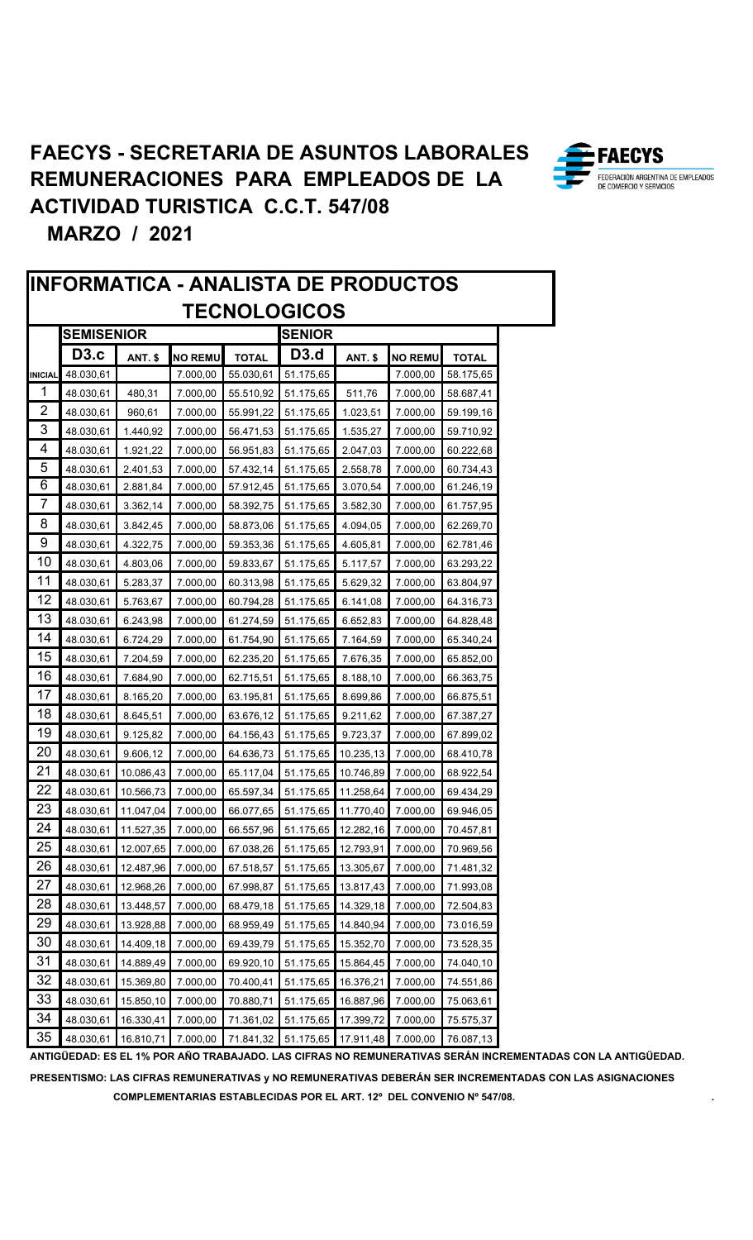![](_page_11_Picture_1.jpeg)

**FAECYS** FEDERACIÓN ARGENTINA DE EMPLEADOS

**PRESENTISMO: LAS CIFRAS REMUNERATIVAS y NO REMUNERATIVAS DEBERÁN SER INCREMENTADAS CON LAS ASIGNACIONES COMPLEMENTARIAS ESTABLECIDAS POR EL ART. 12º DEL CONVENIO Nº 547/08. .**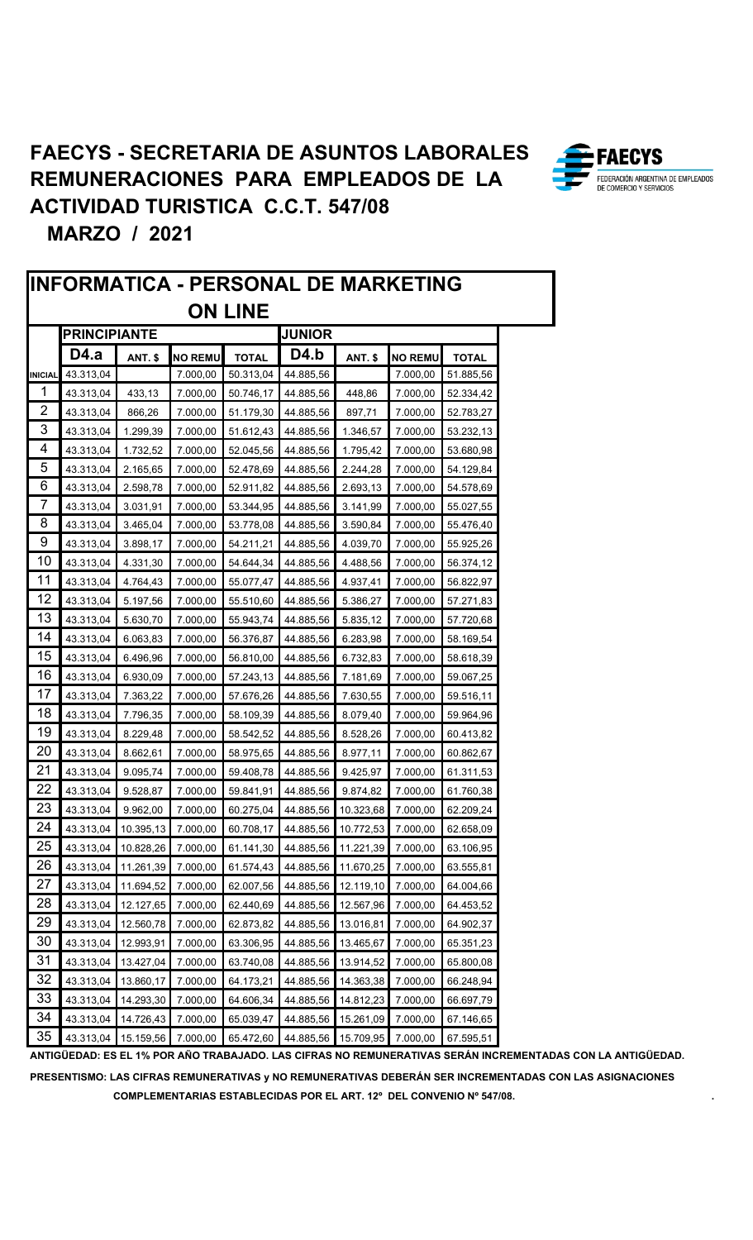![](_page_12_Picture_1.jpeg)

ANTIGÜEDAD: ES EL 1% POR AÑO TRABAJADO. LAS CIFRAS NO REMUNERATIVAS SERÁN INCREMENTADAS CON LA ANTIGÜEDAD. PRESENTISMO: LAS CIFRAS REMUNERATIVAS y NO REMUNERATIVAS DEBERÁN SER INCREMENTADAS CON LAS ASIGNACIONES

COMPLEMENTARIAS ESTABLECIDAS POR EL ART. 12° DEL CONVENIO Nº 547/08.

![](_page_12_Picture_4.jpeg)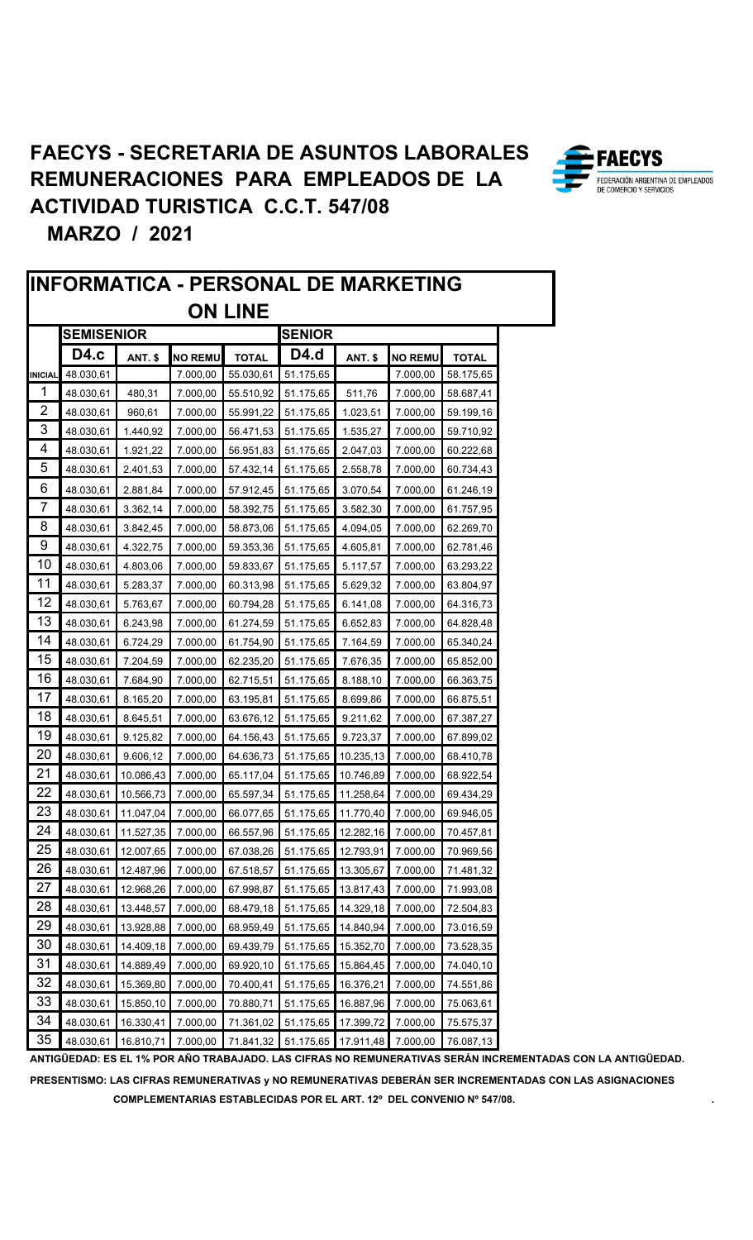![](_page_13_Picture_1.jpeg)

![](_page_13_Picture_3.jpeg)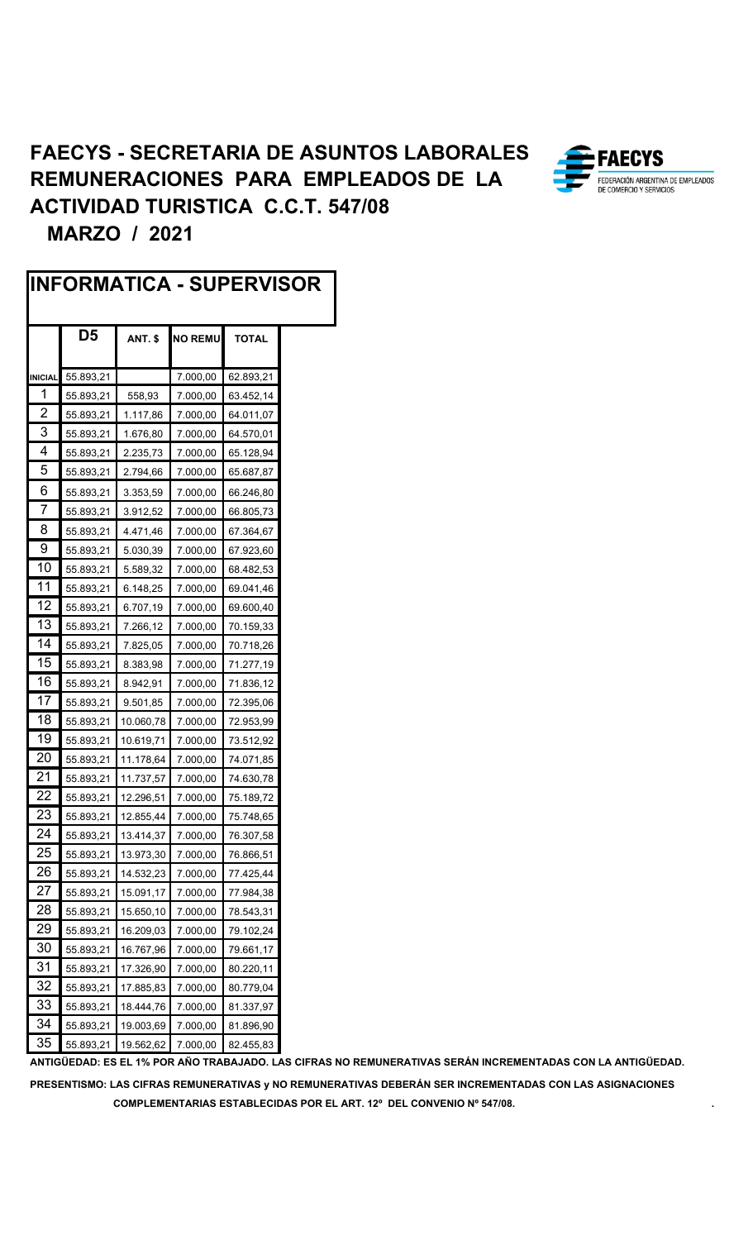|                | IINFORMATICA - SUPERVISOR |                |                |              |  |
|----------------|---------------------------|----------------|----------------|--------------|--|
|                | D <sub>5</sub>            | <b>ANT. \$</b> | <b>NO REMU</b> | <b>TOTAL</b> |  |
| <b>INICIAL</b> | 55.893,21                 |                | 7.000,00       | 62.893,21    |  |
| 1              | 55.893,21                 | 558,93         | 7.000,00       | 63.452,14    |  |
| 2              | 55.893,21                 | 1.117,86       | 7.000,00       | 64.011,07    |  |
| 3              | 55.893,21                 | 1.676,80       | 7.000,00       | 64.570,01    |  |
| 4              | 55.893,21                 | 2.235,73       | 7.000,00       | 65.128,94    |  |
| 5              | 55.893,21                 | 2.794,66       | 7.000,00       | 65.687,87    |  |
| 6              | 55.893,21                 | 3.353,59       | 7.000,00       | 66.246,80    |  |
| 7              | 55.893,21                 | 3.912,52       | 7.000,00       | 66.805,73    |  |
| 8              | 55.893,21                 | 4.471,46       | 7.000,00       | 67.364,67    |  |
| 9              | 55.893,21                 | 5.030,39       | 7.000,00       | 67.923,60    |  |
| 10             | 55.893,21                 | 5.589,32       | 7.000,00       | 68.482,53    |  |
| 11             | 55.893,21                 | 6.148,25       | 7.000,00       | 69.041,46    |  |
| 12             | 55.893,21                 | 6.707,19       | 7.000,00       | 69.600,40    |  |
| 13             | 55.893,21                 | 7.266,12       | 7.000,00       | 70.159,33    |  |
| 14             | 55.893,21                 | 7.825,05       | 7.000,00       | 70.718,26    |  |
| 15             | 55.893,21                 | 8.383,98       | 7.000,00       | 71.277,19    |  |
| 16             | 55.893,21                 | 8.942,91       | 7.000,00       | 71.836,12    |  |
| 17             | 55.893,21                 | 9.501,85       | 7.000,00       | 72.395,06    |  |
| 18             | 55.893,21                 | 10.060,78      | 7.000,00       | 72.953,99    |  |
| 19             | 55.893,21                 | 10.619,71      | 7.000,00       | 73.512,92    |  |
| 20             | 55.893,21                 | 11.178,64      | 7.000,00       | 74.071,85    |  |
| 21             | 55.893,21                 | 11.737,57      | 7.000,00       | 74.630,78    |  |
| 22             | 55.893,21                 | 12.296,51      | 7.000,00       | 75.189,72    |  |
| 23             | 55.893,21                 | 12.855,44      | 7.000,00       | 75.748,65    |  |
| 24             | 55.893,21                 | 13.414,37      | 7.000,00       | 76.307,58    |  |
| 25             | 55.893,21                 | 13.973,30      | 7.000,00       | 76.866,51    |  |
| 26             | 55.893,21                 | 14.532,23      | 7.000,00       | 77.425,44    |  |
| 27             | 55.893,21                 | 15.091,17      | 7.000,00       | 77.984,38    |  |
| 28             | 55.893,21                 | 15.650,10      | 7.000,00       | 78.543,31    |  |
| 29             | 55.893,21                 | 16.209,03      | 7.000,00       | 79.102,24    |  |
| 30             | 55.893,21                 | 16.767,96      | 7.000,00       | 79.661,17    |  |
| 31             | 55.893,21                 | 17.326,90      | 7.000,00       | 80.220,11    |  |
| 32             | 55.893,21                 | 17.885,83      | 7.000,00       | 80.779,04    |  |
| 33             | 55.893,21                 | 18.444,76      | 7.000,00       | 81.337,97    |  |
| 34             | 55.893,21                 | 19.003,69      | 7.000,00       | 81.896,90    |  |
| 35             | 55.893,21                 | 19.562,62      | 7.000,00       | 82.455,83    |  |

![](_page_14_Picture_3.jpeg)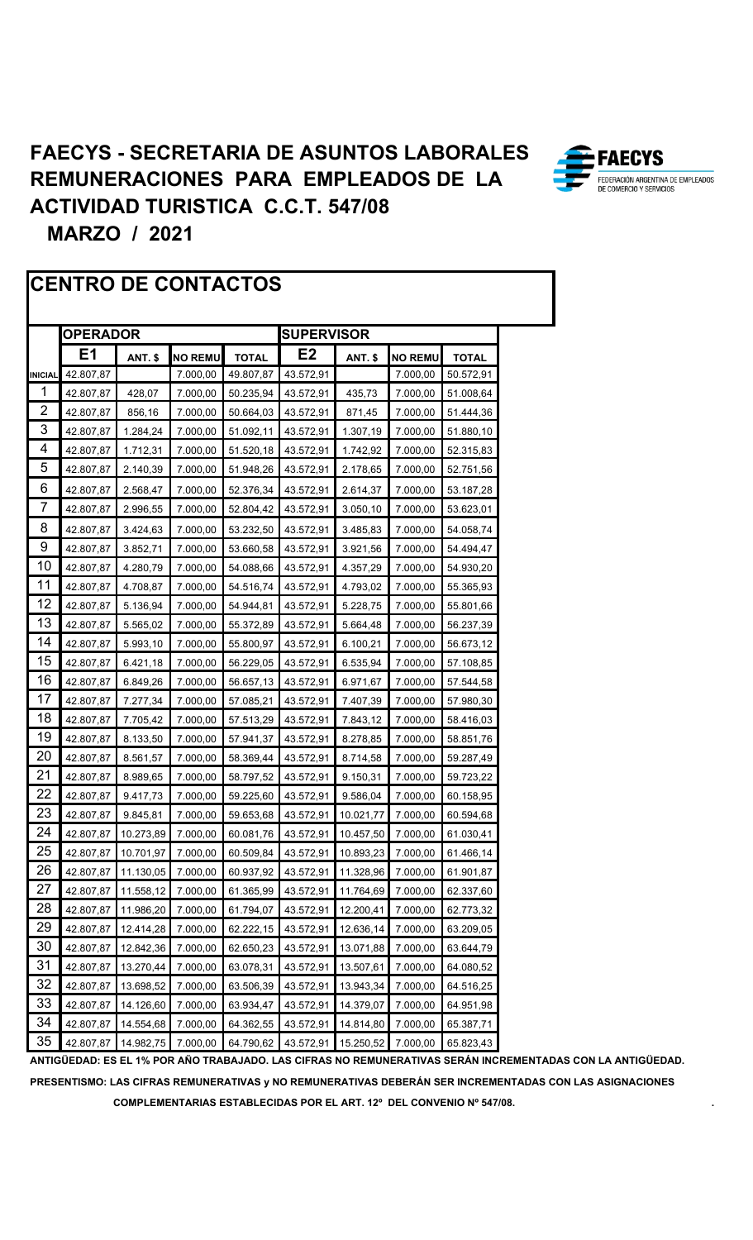![](_page_15_Picture_1.jpeg)

#### **CENTRO DE CONTACTOS**

|                | <b>OPERADOR</b> |           |                |              | <b>SUPERVISOR</b> |                |                |              |
|----------------|-----------------|-----------|----------------|--------------|-------------------|----------------|----------------|--------------|
|                | E <sub>1</sub>  | ANT. \$   | <b>NO REMU</b> | <b>TOTAL</b> | E <sub>2</sub>    | <b>ANT. \$</b> | <b>NO REMU</b> | <b>TOTAL</b> |
| <b>INICIAL</b> | 42.807,87       |           | 7.000,00       | 49.807,87    | 43.572,91         |                | 7.000,00       | 50.572,91    |
| 1              | 42.807,87       | 428,07    | 7.000,00       | 50.235,94    | 43.572,91         | 435,73         | 7.000,00       | 51.008,64    |
| 2              | 42.807,87       | 856,16    | 7.000,00       | 50.664,03    | 43.572,91         | 871,45         | 7.000,00       | 51.444,36    |
| 3              | 42.807,87       | 1.284,24  | 7.000,00       | 51.092,11    | 43.572,91         | 1.307,19       | 7.000,00       | 51.880,10    |
| 4              | 42.807,87       | 1.712,31  | 7.000,00       | 51.520,18    | 43.572,91         | 1.742,92       | 7.000,00       | 52.315,83    |
| 5              | 42.807,87       | 2.140,39  | 7.000,00       | 51.948,26    | 43.572,91         | 2.178,65       | 7.000,00       | 52.751,56    |
| 6              | 42.807,87       | 2.568,47  | 7.000,00       | 52.376,34    | 43.572,91         | 2.614,37       | 7.000,00       | 53.187,28    |
| 7              | 42.807,87       | 2.996,55  | 7.000,00       | 52.804,42    | 43.572,91         | 3.050,10       | 7.000,00       | 53.623,01    |
| 8              | 42.807,87       | 3.424,63  | 7.000,00       | 53.232,50    | 43.572,91         | 3.485,83       | 7.000,00       | 54.058,74    |
| 9              | 42.807,87       | 3.852,71  | 7.000,00       | 53.660,58    | 43.572,91         | 3.921,56       | 7.000,00       | 54.494,47    |
| 10             | 42.807,87       | 4.280,79  | 7.000,00       | 54.088,66    | 43.572,91         | 4.357,29       | 7.000,00       | 54.930,20    |
| 11             | 42.807,87       | 4.708,87  | 7.000,00       | 54.516,74    | 43.572,91         | 4.793,02       | 7.000,00       | 55.365,93    |
| 12             | 42.807,87       | 5.136,94  | 7.000,00       | 54.944,81    | 43.572,91         | 5.228,75       | 7.000,00       | 55.801,66    |
| 13             | 42.807,87       | 5.565,02  | 7.000,00       | 55.372,89    | 43.572,91         | 5.664,48       | 7.000,00       | 56.237,39    |
| 14             | 42.807,87       | 5.993,10  | 7.000,00       | 55.800,97    | 43.572,91         | 6.100,21       | 7.000,00       | 56.673,12    |
| 15             | 42.807,87       | 6.421,18  | 7.000,00       | 56.229,05    | 43.572,91         | 6.535,94       | 7.000,00       | 57.108,85    |
| 16             | 42.807,87       | 6.849,26  | 7.000,00       | 56.657,13    | 43.572,91         | 6.971,67       | 7.000,00       | 57.544,58    |
| 17             | 42.807,87       | 7.277,34  | 7.000,00       | 57.085,21    | 43.572,91         | 7.407,39       | 7.000,00       | 57.980,30    |
| 18             | 42.807,87       | 7.705,42  | 7.000,00       | 57.513,29    | 43.572,91         | 7.843,12       | 7.000,00       | 58.416,03    |
| 19             | 42.807,87       | 8.133,50  | 7.000,00       | 57.941,37    | 43.572,91         | 8.278,85       | 7.000,00       | 58.851,76    |
| 20             | 42.807,87       | 8.561,57  | 7.000,00       | 58.369,44    | 43.572,91         | 8.714,58       | 7.000,00       | 59.287,49    |
| 21             | 42.807,87       | 8.989,65  | 7.000,00       | 58.797,52    | 43.572,91         | 9.150,31       | 7.000,00       | 59.723,22    |
| 22             | 42.807,87       | 9.417,73  | 7.000,00       | 59.225,60    | 43.572,91         | 9.586,04       | 7.000,00       | 60.158,95    |
| 23             | 42.807,87       | 9.845,81  | 7.000,00       | 59.653,68    | 43.572,91         | 10.021,77      | 7.000,00       | 60.594,68    |
| 24             | 42.807,87       | 10.273,89 | 7.000,00       | 60.081,76    | 43.572,91         | 10.457,50      | 7.000,00       | 61.030,41    |
| 25             | 42.807,87       | 10.701,97 | 7.000,00       | 60.509,84    | 43.572,91         | 10.893,23      | 7.000,00       | 61.466,14    |
| 26             | 42.807,87       | 11.130,05 | 7.000,00       | 60.937,92    | 43.572,91         | 11.328,96      | 7.000,00       | 61.901,87    |
| 27             | 42.807,87       | 11.558,12 | 7.000,00       | 61.365,99    | 43.572,91         | 11.764,69      | 7.000,00       | 62.337,60    |
| 28             | 42.807,87       | 11.986,20 | 7.000,00       | 61.794,07    | 43.572,91         | 12.200,41      | 7.000,00       | 62.773,32    |
| 29             | 42.807,87       | 12.414,28 | 7.000,00       | 62.222,15    | 43.572,91         | 12.636,14      | 7.000,00       | 63.209,05    |
| 30             | 42.807,87       | 12.842,36 | 7.000,00       | 62.650,23    | 43.572,91         | 13.071,88      | 7.000,00       | 63.644,79    |
| 31             | 42.807,87       | 13.270,44 | 7.000,00       | 63.078,31    | 43.572,91         | 13.507,61      | 7.000,00       | 64.080,52    |
| 32             | 42.807,87       | 13.698,52 | 7.000,00       | 63.506,39    | 43.572,91         | 13.943,34      | 7.000,00       | 64.516,25    |
| 33             | 42.807,87       | 14.126,60 | 7.000,00       | 63.934,47    | 43.572,91         | 14.379,07      | 7.000,00       | 64.951,98    |
| 34             | 42.807,87       | 14.554,68 | 7.000,00       | 64.362,55    | 43.572,91         | 14.814,80      | 7.000,00       | 65.387,71    |
| 35             | 42.807,87       | 14.982,75 | 7.000,00       | 64.790,62    | 43.572,91         | 15.250,52      | 7.000,00       | 65.823,43    |